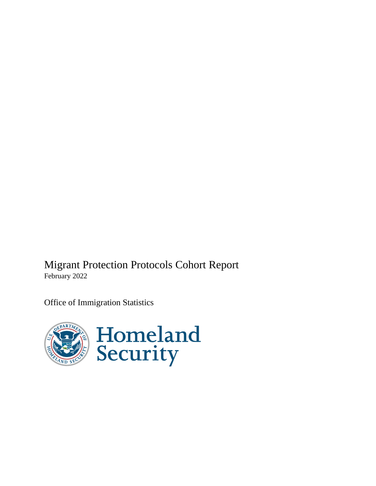Migrant Protection Protocols Cohort Report February 2022

Office of Immigration Statistics

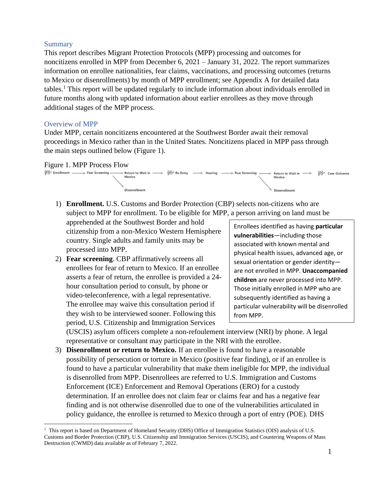### **Summary**

This report describes Migrant Protection Protocols (MPP) processing and outcomes for noncitizens enrolled in MPP from December 6, 2021 – January 31, 2022. The report summarizes information on enrollee nationalities, fear claims, vaccinations, and processing outcomes (returns to Mexico or disenrollments) by month of MPP enrollment; see Appendix A for detailed data tables. <sup>1</sup> This report will be updated regularly to include information about individuals enrolled in future months along with updated information about earlier enrollees as they move through additional stages of the MPP process.

### Overview of MPP

Under MPP, certain noncitizens encountered at the Southwest Border await their removal proceedings in Mexico rather than in the United States. Noncitizens placed in MPP pass through the main steps outlined below (Figure 1).

#### Figure 1. MPP Process Flow



1) **Enrollment.** U.S. Customs and Border Protection (CBP) selects non-citizens who are subject to MPP for enrollment. To be eligible for MPP, a person arriving on land must be

apprehended at the Southwest Border and hold citizenship from a non-Mexico Western Hemisphere country. Single adults and family units may be processed into MPP.

2) **Fear screening**. CBP affirmatively screens all enrollees for fear of return to Mexico. If an enrollee asserts a fear of return, the enrollee is provided a 24 hour consultation period to consult, by phone or video-teleconference, with a legal representative. The enrollee may waive this consultation period if they wish to be interviewed sooner. Following this period, U.S. Citizenship and Immigration Services

Enrollees identified as having **particular vulnerabilities**—including those associated with known mental and physical health issues, advanced age, or sexual orientation or gender identity are not enrolled in MPP. **Unaccompanied children** are never processed into MPP. Those initially enrolled in MPP who are subsequently identified as having a particular vulnerability will be disenrolled from MPP.

(USCIS) asylum officers complete a non-refoulement interview (NRI) by phone. A legal representative or consultant may participate in the NRI with the enrollee.

3) **Disenrollment or return to Mexico.** If an enrollee is found to have a reasonable possibility of persecution or torture in Mexico (positive fear finding), or if an enrollee is found to have a particular vulnerability that make them ineligible for MPP, the individual is disenrolled from MPP. Disenrollees are referred to U.S. Immigration and Customs Enforcement (ICE) Enforcement and Removal Operations (ERO) for a custody determination. If an enrollee does not claim fear or claims fear and has a negative fear finding and is not otherwise disenrolled due to one of the vulnerabilities articulated in policy guidance, the enrollee is returned to Mexico through a port of entry (POE). DHS

 $1$  This report is based on Department of Homeland Security (DHS) Office of Immigration Statistics (OIS) analysis of U.S. Customs and Border Protection (CBP), U.S. Citizenship and Immigration Services (USCIS), and Countering Weapons of Mass Destruction (CWMD) data available as of February 7, 2022.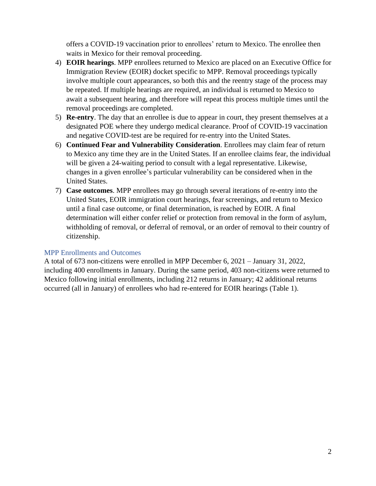offers a COVID-19 vaccination prior to enrollees' return to Mexico. The enrollee then waits in Mexico for their removal proceeding.

- 4) **EOIR hearings**. MPP enrollees returned to Mexico are placed on an Executive Office for Immigration Review (EOIR) docket specific to MPP. Removal proceedings typically involve multiple court appearances, so both this and the reentry stage of the process may be repeated. If multiple hearings are required, an individual is returned to Mexico to await a subsequent hearing, and therefore will repeat this process multiple times until the removal proceedings are completed.
- 5) **Re-entry**. The day that an enrollee is due to appear in court, they present themselves at a designated POE where they undergo medical clearance. Proof of COVID-19 vaccination and negative COVID-test are be required for re-entry into the United States.
- 6) **Continued Fear and Vulnerability Consideration**. Enrollees may claim fear of return to Mexico any time they are in the United States. If an enrollee claims fear, the individual will be given a 24-waiting period to consult with a legal representative. Likewise, changes in a given enrollee's particular vulnerability can be considered when in the United States.
- 7) **Case outcomes**. MPP enrollees may go through several iterations of re-entry into the United States, EOIR immigration court hearings, fear screenings, and return to Mexico until a final case outcome, or final determination, is reached by EOIR. A final determination will either confer relief or protection from removal in the form of asylum, withholding of removal, or deferral of removal, or an order of removal to their country of citizenship.

### MPP Enrollments and Outcomes

A total of 673 non-citizens were enrolled in MPP December 6, 2021 – January 31, 2022, including 400 enrollments in January. During the same period, 403 non-citizens were returned to Mexico following initial enrollments, including 212 returns in January; 42 additional returns occurred (all in January) of enrollees who had re-entered for EOIR hearings (Table 1).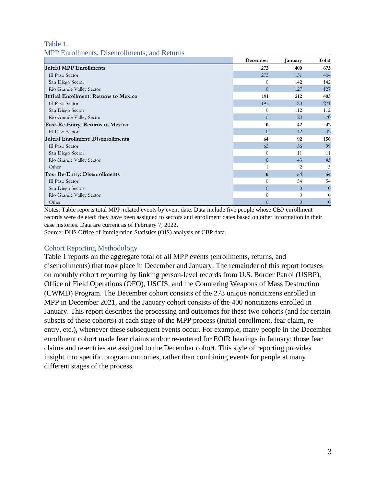### Table 1. MPP Enrollments, Disenrollments, and Returns

|                                              | December         | January        | Total          |
|----------------------------------------------|------------------|----------------|----------------|
| Initial MPP Enrollments                      | 273              | 400            | 673            |
| El Paso Sector                               | 273              | 131            | 404            |
| San Diego Sector                             | $\Omega$         | 142            | 142            |
| Rio Grande Valley Sector                     | $\Omega$         | 127            | 127            |
| <b>Intital Enrollment: Returns to Mexico</b> | 191              | 212            | 403            |
| El Paso Sector                               | 191              | 80             | 271            |
| San Diego Sector                             | $\Omega$         | 112            | 112            |
| Rio Grande Valley Sector                     | $\theta$         | 20             | <b>20</b>      |
| Post-Re-Entry: Returns to Mexico             | $\bf{0}$         | 42             | 42             |
| El Paso Sector                               | $\Omega$         | 42             | 42             |
| <b>Initial Enrollment: Disenrollments</b>    | 64               | 92             | 156            |
| El Paso Sector                               | 63               | 36             | 99             |
| San Diego Sector                             | $\theta$         | 11             | 11             |
| Rio Grande Valley Sector                     | $\overline{0}$   | 43             | 43             |
| Other                                        |                  | $\overline{c}$ | 3              |
| <b>Post Re-Entry: Disenrollments</b>         | $\bf{0}$         | 54             | 54             |
| El Paso Sector                               | $\theta$         | 54             | 54             |
| San Diego Sector                             | $\Omega$         | $\Omega$       | $\overline{0}$ |
| Rio Grande Valley Sector                     | $\theta$         | $\theta$       |                |
| Other                                        | $\boldsymbol{0}$ | $\theta$       |                |

Notes: Table reports total MPP-related events by event date. Data include five people whose CBP enrollment records were deleted; they have been assigned to sectors and enrollment dates based on other information in their case histories. Data are current as of February 7, 2022.

Source: DHS Office of Immigration Statistics (OIS) analysis of CBP data.

### Cohort Reporting Methodology

Table 1 reports on the aggregate total of all MPP events (enrollments, returns, and disenrollments) that took place in December and January. The remainder of this report focuses on monthly cohort reporting by linking person-level records from U.S. Border Patrol (USBP), Office of Field Operations (OFO), USCIS, and the Countering Weapons of Mass Destruction (CWMD) Program. The December cohort consists of the 273 unique noncitizens enrolled in MPP in December 2021, and the January cohort consists of the 400 noncitizens enrolled in January. This report describes the processing and outcomes for these two cohorts (and for certain subsets of these cohorts) at each stage of the MPP process (initial enrollment, fear claim, reentry, etc.), whenever these subsequent events occur. For example, many people in the December enrollment cohort made fear claims and/or re-entered for EOIR hearings in January; those fear claims and re-entries are assigned to the December cohort. This style of reporting provides insight into specific program outcomes, rather than combining events for people at many different stages of the process.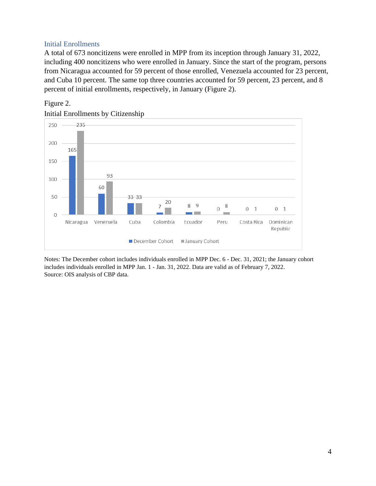### Initial Enrollments

A total of 673 noncitizens were enrolled in MPP from its inception through January 31, 2022, including 400 noncitizens who were enrolled in January. Since the start of the program, persons from Nicaragua accounted for 59 percent of those enrolled, Venezuela accounted for 23 percent, and Cuba 10 percent. The same top three countries accounted for 59 percent, 23 percent, and 8 percent of initial enrollments, respectively, in January (Figure 2).







Notes: The December cohort includes individuals enrolled in MPP Dec. 6 - Dec. 31, 2021; the January cohort includes individuals enrolled in MPP Jan. 1 - Jan. 31, 2022. Data are valid as of February 7, 2022. Source: OIS analysis of CBP data.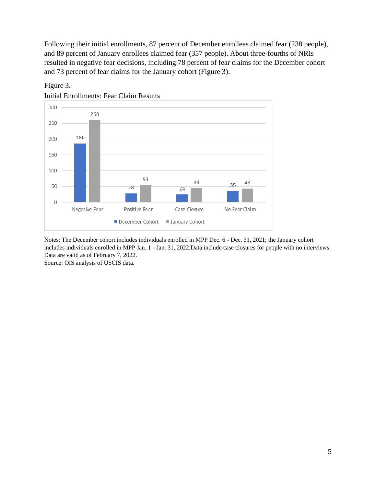Following their initial enrollments, 87 percent of December enrollees claimed fear (238 people), and 89 percent of January enrollees claimed fear (357 people). About three-fourths of NRIs resulted in negative fear decisions, including 78 percent of fear claims for the December cohort and 73 percent of fear claims for the January cohort (Figure 3).



Figure 3.

Initial Enrollments: Fear Claim Results

Notes: The December cohort includes individuals enrolled in MPP Dec. 6 - Dec. 31, 2021; the January cohort includes individuals enrolled in MPP Jan. 1 - Jan. 31, 2022.Data include case closures for people with no interviews. Data are valid as of February 7, 2022.

Source: OIS analysis of USCIS data.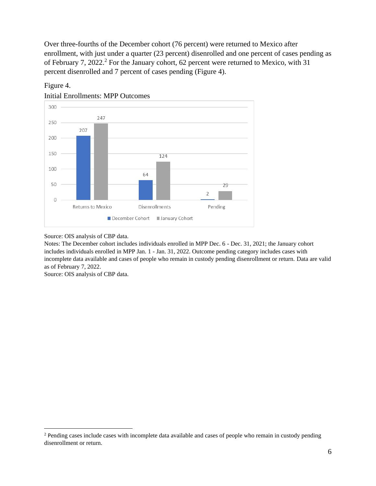Over three-fourths of the December cohort (76 percent) were returned to Mexico after enrollment, with just under a quarter (23 percent) disenrolled and one percent of cases pending as of February 7, 2022.<sup>2</sup> For the January cohort, 62 percent were returned to Mexico, with 31 percent disenrolled and 7 percent of cases pending (Figure 4).



Initial Enrollments: MPP Outcomes

Figure 4.

Source: OIS analysis of CBP data.

Notes: The December cohort includes individuals enrolled in MPP Dec. 6 - Dec. 31, 2021; the January cohort includes individuals enrolled in MPP Jan. 1 - Jan. 31, 2022. Outcome pending category includes cases with incomplete data available and cases of people who remain in custody pending disenrollment or return. Data are valid as of February 7, 2022.

Source: OIS analysis of CBP data.

<sup>&</sup>lt;sup>2</sup> Pending cases include cases with incomplete data available and cases of people who remain in custody pending disenrollment or return.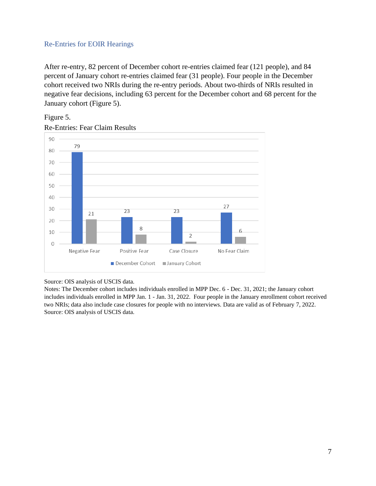### Re-Entries for EOIR Hearings

After re-entry, 82 percent of December cohort re-entries claimed fear (121 people), and 84 percent of January cohort re-entries claimed fear (31 people). Four people in the December cohort received two NRIs during the re-entry periods. About two-thirds of NRIs resulted in negative fear decisions, including 63 percent for the December cohort and 68 percent for the January cohort (Figure 5).



Re-Entries: Fear Claim Results

Figure 5.

#### Source: OIS analysis of USCIS data.

Notes: The December cohort includes individuals enrolled in MPP Dec. 6 - Dec. 31, 2021; the January cohort includes individuals enrolled in MPP Jan. 1 - Jan. 31, 2022. Four people in the January enrollment cohort received two NRIs; data also include case closures for people with no interviews. Data are valid as of February 7, 2022. Source: OIS analysis of USCIS data.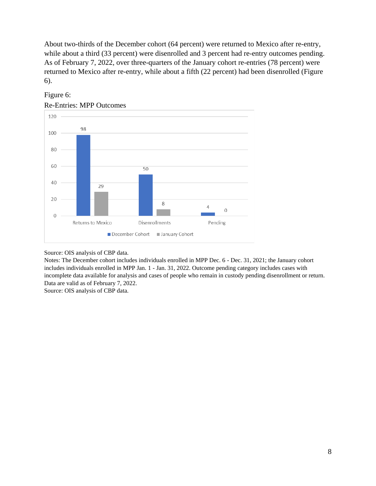About two-thirds of the December cohort (64 percent) were returned to Mexico after re-entry, while about a third (33 percent) were disenrolled and 3 percent had re-entry outcomes pending. As of February 7, 2022, over three-quarters of the January cohort re-entries (78 percent) were returned to Mexico after re-entry, while about a fifth (22 percent) had been disenrolled (Figure 6).



# Figure 6:

Re-Entries: MPP Outcomes

Source: OIS analysis of CBP data.

Notes: The December cohort includes individuals enrolled in MPP Dec. 6 - Dec. 31, 2021; the January cohort includes individuals enrolled in MPP Jan. 1 - Jan. 31, 2022. Outcome pending category includes cases with incomplete data available for analysis and cases of people who remain in custody pending disenrollment or return. Data are valid as of February 7, 2022.

Source: OIS analysis of CBP data.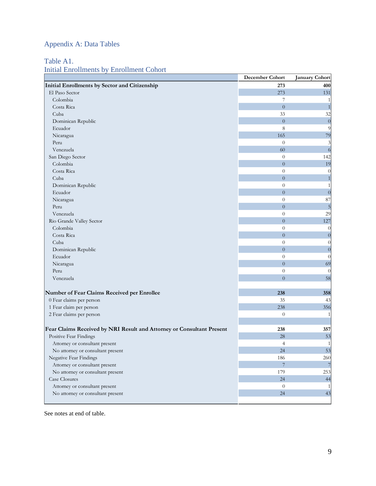# Appendix A: Data Tables

### Table A1.

# Initial Enrollments by Enrollment Cohort

|                                                                       | December Cohort | <b>January Cohort</b> |
|-----------------------------------------------------------------------|-----------------|-----------------------|
| Initial Enrollments by Sector and Citizenship                         | 273             | 400                   |
| El Paso Sector                                                        | 273             | 131                   |
| Colombia                                                              | 7               | $\mathbf{1}$          |
| Costa Rica                                                            | $\overline{0}$  | $\mathbf{1}$          |
| Cuba                                                                  | 33              | 32                    |
| Dominican Republic                                                    | $\overline{0}$  | $\boldsymbol{0}$      |
| Ecuador                                                               | 8               | 9                     |
| Nicaragua                                                             | 165             | 79                    |
| Peru                                                                  | $\theta$        | 3                     |
| Venezuela                                                             | 60              | $\overline{6}$        |
| San Diego Sector                                                      | $\overline{0}$  | 142                   |
| Colombia                                                              | $\overline{0}$  | 19                    |
| Costa Rica                                                            | $\overline{0}$  | $\overline{0}$        |
| Cuba                                                                  | $\overline{0}$  | $\,1\,$               |
| Dominican Republic                                                    | $\overline{0}$  | $\mathbf{1}$          |
| Ecuador                                                               | $\overline{0}$  | $\boldsymbol{0}$      |
| Nicaragua                                                             | $\overline{0}$  | 87                    |
| Peru                                                                  | $\overline{0}$  | 5                     |
| Venezuela                                                             | $\theta$        | 29                    |
| Rio Grande Valley Sector                                              | $\overline{0}$  | 127                   |
| Colombia                                                              | $\theta$        | $\overline{0}$        |
| Costa Rica                                                            | $\overline{0}$  | $\boldsymbol{0}$      |
| Cuba                                                                  | $\theta$        | $\overline{0}$        |
| Dominican Republic                                                    | $\overline{0}$  | $\boldsymbol{0}$      |
| Ecuador                                                               | $\overline{0}$  | $\theta$              |
| Nicaragua                                                             | $\overline{0}$  | 69                    |
| Peru                                                                  | $\overline{0}$  | $\theta$              |
| Venezuela                                                             | $\overline{0}$  | 58                    |
|                                                                       |                 |                       |
| Number of Fear Claims Received per Enrollee                           | 238             | 358                   |
| 0 Fear claims per person                                              | 35              | 43                    |
| 1 Fear claim per person                                               | 238             | 356                   |
| 2 Fear claims per person                                              | $\theta$        | $\mathbf{1}$          |
|                                                                       |                 |                       |
| Fear Claims Received by NRI Result and Attorney or Consultant Present | 238             | 357                   |
| Positive Fear Findings                                                | 28              | 53                    |
| Attorney or consultant present                                        | $\overline{4}$  | $\mathbf{1}$          |
| No attorney or consultant present                                     | 24              | 53                    |
| Negative Fear Findings                                                | 186             | 260                   |
| Attorney or consultant present                                        | $\overline{7}$  | $\overline{7}$        |
| No attorney or consultant present                                     | 179             | 253                   |
| Case Closures                                                         | 24              | 44                    |
| Attorney or consultant present                                        | $\theta$        | $\mathbf{1}$          |
| No attorney or consultant present                                     | 24              | 43                    |
|                                                                       |                 |                       |

See notes at end of table.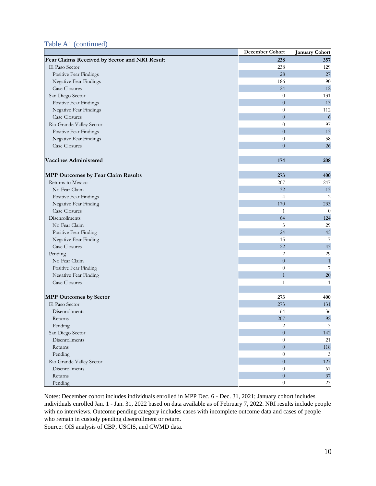#### Table A1 (continued)

|                                               | <b>December Cohort</b> | <b>January Cohort</b> |
|-----------------------------------------------|------------------------|-----------------------|
| Fear Claims Received by Sector and NRI Result | 238                    | 357                   |
| El Paso Sector                                | 238                    | 129                   |
| Positive Fear Findings                        | 28                     | 27                    |
| Negative Fear Findings                        | 186                    | 90                    |
| <b>Case Closures</b>                          | 24                     | 12                    |
| San Diego Sector                              | $\theta$               | 131                   |
| Positive Fear Findings                        | $\boldsymbol{0}$       | 13                    |
| Negative Fear Findings                        | $\theta$               | 112                   |
| <b>Case Closures</b>                          | $\boldsymbol{0}$       | 6                     |
| Rio Grande Valley Sector                      | $\boldsymbol{0}$       | 97                    |
| Positive Fear Findings                        | $\overline{0}$         | 13                    |
| Negative Fear Findings                        | $\theta$               | 58                    |
| Case Closures                                 | $\overline{0}$         | 26                    |
|                                               |                        |                       |
| <b>Vaccines Administered</b>                  | 174                    | 208                   |
|                                               |                        |                       |
| <b>MPP Outcomes by Fear Claim Results</b>     | 273                    | 400                   |
| Returns to Mexico                             | 207                    | 247                   |
| No Fear Claim                                 | 32                     | 13                    |
| Positive Fear Findings                        | $\overline{4}$         | 2                     |
| Negative Fear Finding                         | 170                    | 233                   |
| <b>Case Closures</b>                          | $\mathbf{1}$           | $\theta$              |
| Disenrollments                                | 64                     | 124                   |
| No Fear Claim                                 | 3                      | 29                    |
| Positive Fear Finding                         | 24                     | 45                    |
| Negative Fear Finding                         | 15                     | 7                     |
| <b>Case Closures</b>                          | 22                     | 43                    |
| Pending                                       | $\mathbf{2}$           | 29                    |
| No Fear Claim                                 | $\boldsymbol{0}$       | $\mathbf{1}$          |
| Positive Fear Finding                         | $\boldsymbol{0}$       | 7                     |
| Negative Fear Finding                         | $\mathbf{1}$           | 20                    |
| <b>Case Closures</b>                          | $\mathbf{1}$           | $\mathbf{1}$          |
|                                               |                        |                       |
| <b>MPP Outcomes by Sector</b>                 | 273                    | 400                   |
| El Paso Sector                                | 273                    | 131                   |
| Disenrollments                                | 64                     | 36                    |
| Returns                                       | 207                    | 92                    |
| Pending                                       | $\overline{c}$         | $\overline{3}$        |
| San Diego Sector                              | $\boldsymbol{0}$       | 142                   |
| Disenrollments                                | $\theta$               | 21                    |
| Returns                                       | $\boldsymbol{0}$       | 118                   |
| Pending                                       | $\boldsymbol{0}$       | 3                     |
| Rio Grande Valley Sector                      | $\boldsymbol{0}$       | 127                   |
| Disenrollments                                | $\boldsymbol{0}$       | 67                    |
| Returns                                       | $\overline{0}$         | 37                    |
| Pending                                       | $\boldsymbol{0}$       | 23                    |

Notes: December cohort includes individuals enrolled in MPP Dec. 6 - Dec. 31, 2021; January cohort includes individuals enrolled Jan. 1 - Jan. 31, 2022 based on data available as of February 7, 2022. NRI results include people with no interviews. Outcome pending category includes cases with incomplete outcome data and cases of people who remain in custody pending disenrollment or return.

Source: OIS analysis of CBP, USCIS, and CWMD data.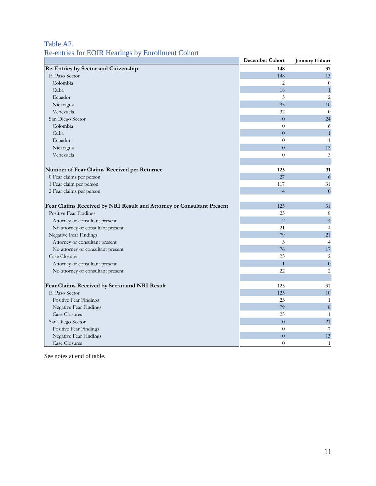# Table A2.

# Re-entries for EOIR Hearings by Enrollment Cohort

|                                                                       | December Cohort | January Cohort          |
|-----------------------------------------------------------------------|-----------------|-------------------------|
| Re-Entries by Sector and Citizenship                                  | 148             | 37                      |
| El Paso Sector                                                        | 148             | 13                      |
| Colombia                                                              | $\overline{2}$  | $\overline{0}$          |
| Cuba                                                                  | 18              | $\mathbf{1}$            |
| Ecuador                                                               | 3               | $\overline{c}$          |
| Nicaragua                                                             | 93              | 10                      |
| Venezuela                                                             | 32              | $\theta$                |
| San Diego Sector                                                      | $\overline{0}$  | 24                      |
| Colombia                                                              | $\overline{0}$  | 6                       |
| Cuba                                                                  | $\overline{0}$  | $\mathbf{1}$            |
| Ecuador                                                               | $\theta$        | 1                       |
| Nicaragua                                                             | $\overline{0}$  | 13                      |
| Venezuela                                                             | $\theta$        | 3                       |
|                                                                       |                 |                         |
| Number of Fear Claims Received per Returnee                           | 125             | 31                      |
| 0 Fear claims per person                                              | 27              | 6                       |
| 1 Fear claim per person                                               | 117             | 31                      |
| 2 Fear claims per person                                              | $\overline{4}$  | $\overline{0}$          |
|                                                                       |                 |                         |
| Fear Claims Received by NRI Result and Attorney or Consultant Present | 125             | 31                      |
| Positive Fear Findings                                                | 23              | 8                       |
| Attorney or consultant present                                        | $\overline{2}$  | $\overline{4}$          |
| No attorney or consultant present                                     | 21              | 4                       |
| Negative Fear Findings                                                | 79              | 21                      |
| Attorney or consultant present                                        | 3               | 4                       |
| No attorney or consultant present                                     | 76              | 17                      |
| Case Closures                                                         | 23              | $\overline{c}$          |
| Attorney or consultant present                                        | $\overline{1}$  | $\boldsymbol{0}$        |
| No attorney or consultant present                                     | 22              | $\overline{\mathbf{c}}$ |
|                                                                       |                 |                         |
| Fear Claims Received by Sector and NRI Result                         | 125             | 31                      |
| El Paso Sector                                                        | 125             | 10                      |
| Positive Fear Findings                                                | 23              | 1                       |
| <b>Negative Fear Findings</b>                                         | 79              | 8                       |
| Case Closures                                                         | 23              | 1                       |
| San Diego Sector                                                      | $\overline{0}$  | 21                      |
| Positive Fear Findings                                                | $\overline{0}$  | 7                       |
| Negative Fear Findings                                                | $\overline{0}$  | 13                      |
| Case Closures                                                         | $\theta$        | $\mathbf{1}$            |

See notes at end of table.